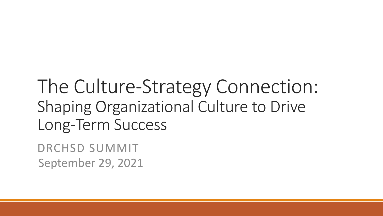# The Culture-Strategy Connection: Shaping Organizational Culture to Drive Long-Term Success

DRCHSD SUMMIT September 29, 2021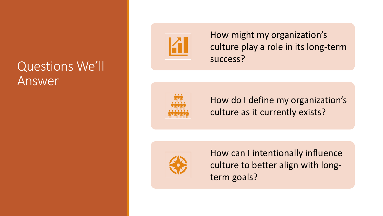## Questions We'll Answer



How might my organization's culture play a role in its long-term success?



How do I define my organization's culture as it currently exists?



How can I intentionally influence culture to better align with longterm goals?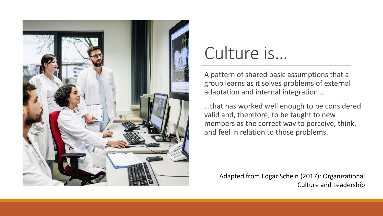

# Culture is…

A pattern of shared basic assumptions that a group learns as it solves problems of external adaptation and internal integration…

…that has worked well enough to be considered valid and, therefore, to be taught to new members as the correct way to perceive, think, and feel in relation to those problems.

Adapted from Edgar Schein (2017): Organizational Culture and Leadership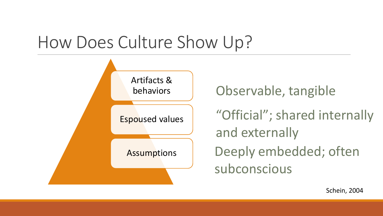# How Does Culture Show Up?



Observable, tangible

"Official"; shared internally and externally Deeply embedded; often subconscious

Schein, 2004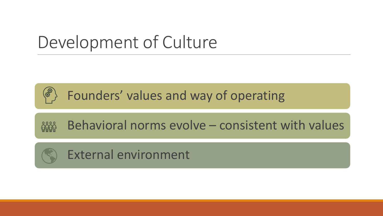# Development of Culture



Founders' values and way of operating



Behavioral norms evolve – consistent with values

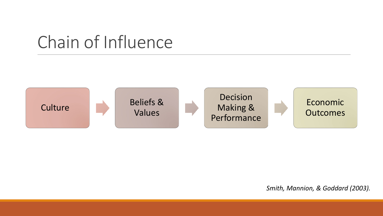# Chain of Influence



#### *Smith, Mannion, & Goddard (2003).*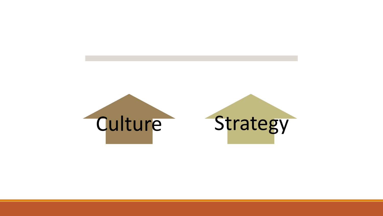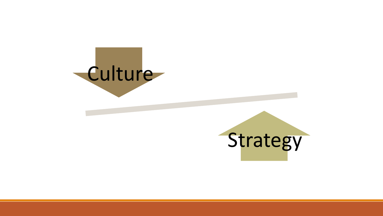

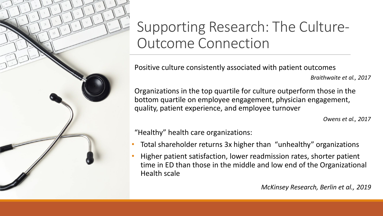

# Supporting Research: The Culture-Outcome Connection

Positive culture consistently associated with patient outcomes

*Braithwaite et al., 2017*

Organizations in the top quartile for culture outperform those in the bottom quartile on employee engagement, physician engagement, quality, patient experience, and employee turnover

*Owens et al., 2017*

"Healthy" health care organizations:

- Total shareholder returns 3x higher than "unhealthy" organizations
- Higher patient satisfaction, lower readmission rates, shorter patient time in ED than those in the middle and low end of the Organizational Health scale

*McKinsey Research, Berlin et al., 2019*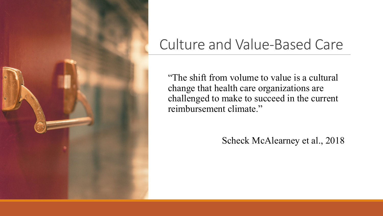

# Culture and Value-Based Care

"The shift from volume to value is a cultural change that health care organizations are challenged to make to succeed in the current reimbursement climate."

### Scheck McAlearney et al., 2018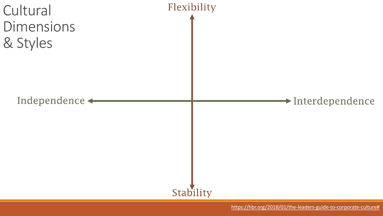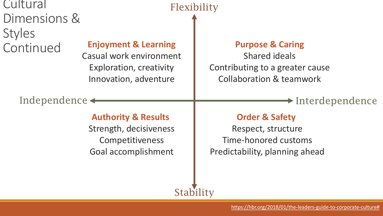| Cultural      |  |
|---------------|--|
| Dimensions &  |  |
| <b>Styles</b> |  |
| Continued     |  |
|               |  |

### **Enjoyment & Learning**

Casual work environment Exploration, creativity Innovation, adventure

#### **Purpose & Caring**

Shared ideals Contributing to a greater cause Collaboration & teamwork

### Independence  $\leftarrow$  Interdependence

#### **Authority & Results**

Strength, decisiveness **Competitiveness** Goal accomplishment

### **Order & Safety**

Respect, structure Time-honored customs Predictability, planning ahead

### **Stability**

Flexibility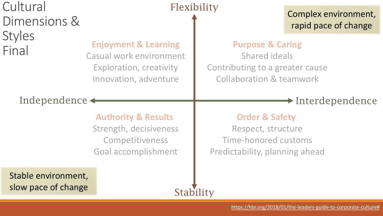## Cultural Dimensions & **Styles** Final

### Flexibility

### Complex environment, rapid pace of change

### **Purpose & Caring**

Shared ideals Contributing to a greater cause Collaboration & teamwork

### Independence  $\leftarrow$  Interdependence

### **Authority & Results**

**Enjoyment & Learning**

Casual work environment

Exploration, creativity

Innovation, adventure

Strength, decisiveness **Competitiveness** Goal accomplishment

### **Order & Safety**

Respect, structure Time-honored customs Predictability, planning ahead

Stable environment, slow pace of change

### **Stability**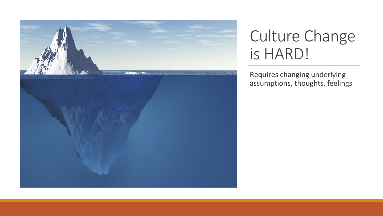

# Culture Change is HARD!

Requires changing underlying assumptions, thoughts, feelings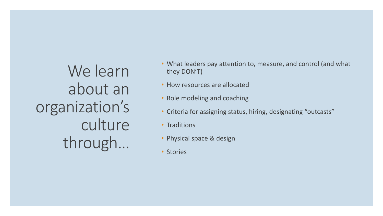We learn about an organization's culture through…

- What leaders pay attention to, measure, and control (and what they DON'T)
- How resources are allocated
- Role modeling and coaching
- Criteria for assigning status, hiring, designating "outcasts"
- Traditions
- Physical space & design
- Stories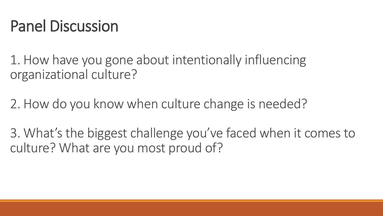# Panel Discussion

1. How have you gone about intentionally influencing organizational culture?

2. How do you know when culture change is needed?

3. What's the biggest challenge you've faced when it comes to culture? What are you most proud of?